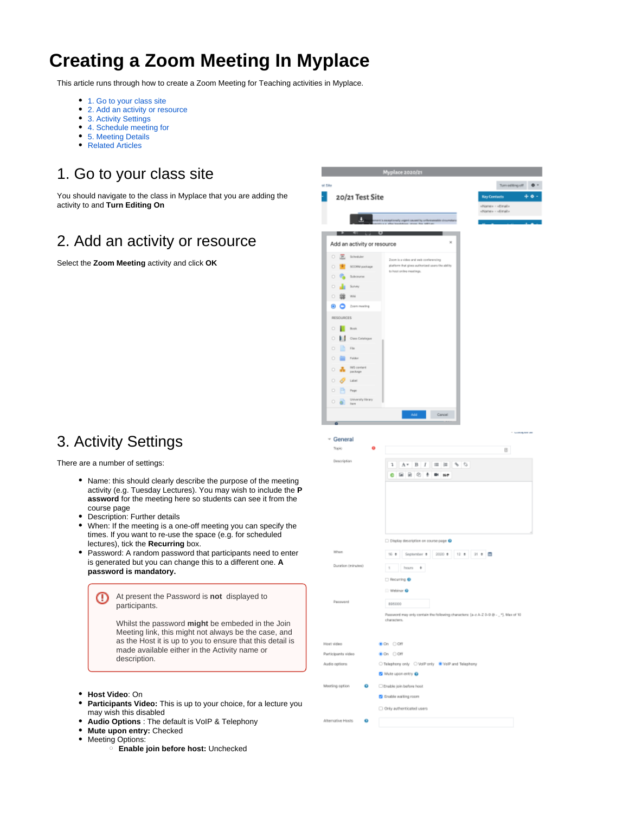# **Creating a Zoom Meeting In Myplace**

This article runs through how to create a Zoom Meeting for Teaching activities in Myplace.

- [1. Go to your class site](#page-0-0)
- [2. Add an activity or resource](#page-0-1)
- [3. Activity Settings](#page-0-2)
- [4. Schedule meeting for](#page-1-0)
- [5. Meeting Details](#page-1-1)
- [Related Articles](#page-2-0)

# <span id="page-0-0"></span>1. Go to your class site

You should navigate to the class in Myplace that you are adding the activity to and **Turn Editing On**

## <span id="page-0-1"></span>2. Add an activity or resource

Select the **Zoom Meeting** activity and click **OK**

### <span id="page-0-2"></span>3. Activity Settings

There are a number of settings:

- Name: this should clearly describe the purpose of the meeting activity (e.g. Tuesday Lectures). You may wish to include the **P assword** for the meeting here so students can see it from the course page
- Description: Further details
- When: If the meeting is a one-off meeting you can specify the times. If you want to re-use the space (e.g. for scheduled lectures), tick the **Recurring** box.
- Password: A random password that participants need to enter is generated but you can change this to a different one. **A password is mandatory.**

At present the Password is **not** displayed to ⊕ participants.

> Whilst the password **might** be embeded in the Join Meeting link, this might not always be the case, and as the Host it is up to you to ensure that this detail is made available either in the Activity name or description.

- **Host Video**: On
- **Participants Video:** This is up to your choice, for a lecture you may wish this disabled
- **Audio Options** : The default is VoIP & Telephony
- **Mute upon entry:** Checked
- Meeting Options:
	- **Enable join before host:** Unchecked

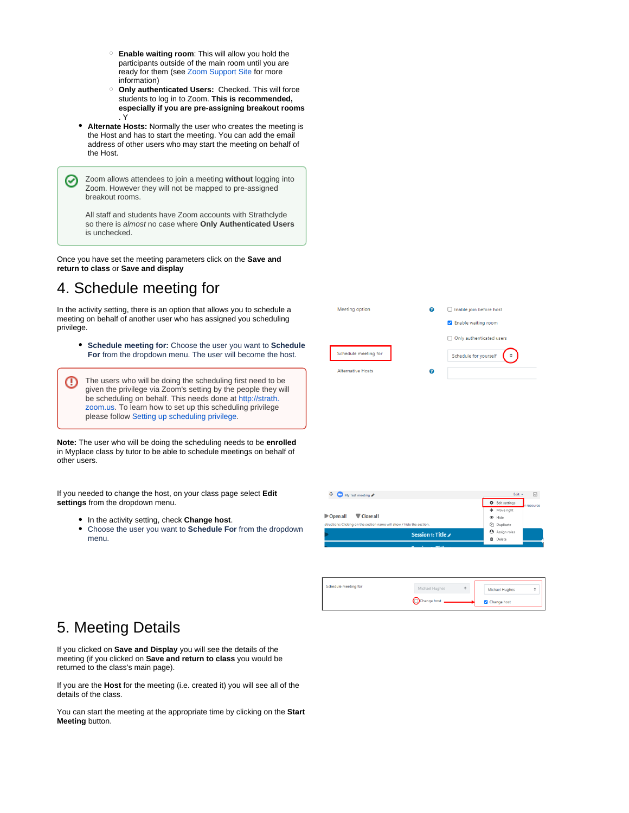- **Enable waiting room**: This will allow you hold the participants outside of the main room until you are ready for them (see [Zoom Support Site](https://support.zoom.us/hc/en-us/articles/115000332726-Waiting-Room) for more information)
- **Only authenticated Users:** Checked. This will force students to log in to Zoom. **This is recommended, especially if you are pre-assigning breakout rooms** . Y
- **Alternate Hosts:** Normally the user who creates the meeting is the Host and has to start the meeting. You can add the email address of other users who may start the meeting on behalf of the Host.

Zoom allows attendees to join a meeting **without** logging into ∽ Zoom. However they will not be mapped to pre-assigned breakout rooms.

All staff and students have Zoom accounts with Strathclyde so there is almost no case where **Only Authenticated Users** is unchecked.

Once you have set the meeting parameters click on the **Save and return to class** or **Save and display**

### <span id="page-1-0"></span>4. Schedule meeting for

In the activity setting, there is an option that allows you to schedule a meeting on behalf of another user who has assigned you scheduling privilege.

**Schedule meeting for:** Choose the user you want to **Schedule For** from the dropdown menu. The user will become the host.

The users who will be doing the scheduling first need to be ⋒ given the privilege via Zoom's setting by the people they will be scheduling on behalf. This needs done at [http://strath.](http://strath.zoom.us/) [zoom.us.](http://strath.zoom.us/) To learn how to set up this scheduling privilege please follow [Setting up scheduling privilege](https://support.myplace.strath.ac.uk/display/MS/Scheduling+privilege).

**Note:** The user who will be doing the scheduling needs to be **enrolled** in Myplace class by tutor to be able to schedule meetings on behalf of other users.

If you needed to change the host, on your class page select **Edit settings** from the dropdown menu.

- In the activity setting, check **Change host**.
- Choose the user you want to **Schedule For** from the dropdown menu.

| Meeting option           | ℯ | Enable join before host            |
|--------------------------|---|------------------------------------|
|                          |   | <b>Z</b> Enable waiting room       |
|                          |   | Only authenticated users           |
| Schedule meeting for     |   | $\bullet$<br>Schedule for yourself |
| <b>Alternative Hosts</b> | ค |                                    |
|                          |   |                                    |

| My Test meeting                                                        |   | Edit $\sim$              | $\triangledown$ |
|------------------------------------------------------------------------|---|--------------------------|-----------------|
|                                                                        |   | <b>♦</b> Edit settings   | r resource      |
|                                                                        |   | $\rightarrow$ Move right |                 |
| Open all<br>Close all                                                  |   | <b>B</b> Hide            |                 |
| structions: Clicking on the section name will show / hide the section. |   | <sup>2</sup> Duplicate   |                 |
| Session 1: Title /                                                     |   | Assign roles             |                 |
|                                                                        | ñ | Delete                   |                 |
|                                                                        |   |                          |                 |

| Schedule meeting for | Michael Hughes | $\div$ | <b>Michael Hughes</b> |  |
|----------------------|----------------|--------|-----------------------|--|
|                      | Change host    |        | Change host           |  |

### <span id="page-1-1"></span>5. Meeting Details

If you clicked on **Save and Display** you will see the details of the meeting (if you clicked on **Save and return to class** you would be returned to the class's main page).

If you are the **Host** for the meeting (i.e. created it) you will see all of the details of the class.

You can start the meeting at the appropriate time by clicking on the **Start Meeting** button.